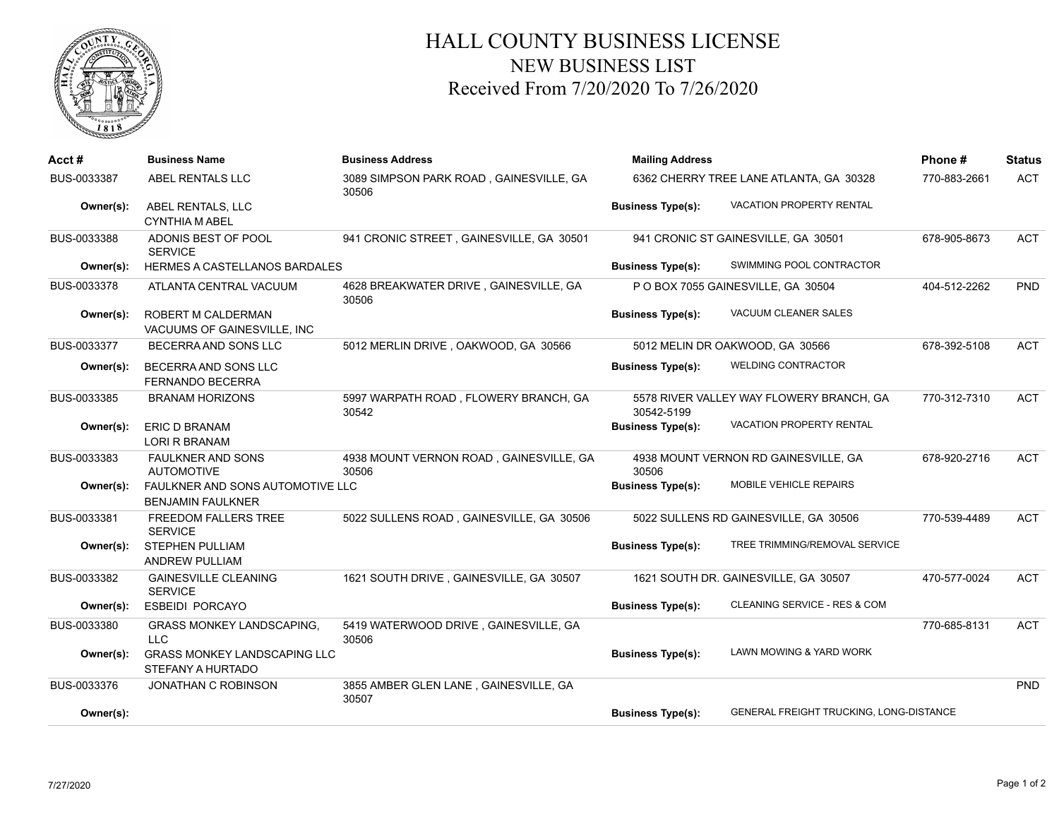

## HALL COUNTY BUSINESS LICENSE NEW BUSINESS LIST Received From 7/20/2020 To 7/26/2020

| Acct#       | <b>Business Name</b>                                         | <b>Business Address</b>                          | <b>Mailing Address</b>                  | Phone#                                   | <b>Status</b> |            |
|-------------|--------------------------------------------------------------|--------------------------------------------------|-----------------------------------------|------------------------------------------|---------------|------------|
| BUS-0033387 | ABEL RENTALS LLC                                             | 3089 SIMPSON PARK ROAD, GAINESVILLE, GA<br>30506 | 6362 CHERRY TREE LANE ATLANTA, GA 30328 |                                          | 770-883-2661  | <b>ACT</b> |
| Owner(s):   | ABEL RENTALS, LLC<br><b>CYNTHIA M ABEL</b>                   |                                                  | <b>Business Type(s):</b>                | <b>VACATION PROPERTY RENTAL</b>          |               |            |
| BUS-0033388 | ADONIS BEST OF POOL<br><b>SERVICE</b>                        | 941 CRONIC STREET, GAINESVILLE, GA 30501         |                                         | 941 CRONIC ST GAINESVILLE, GA 30501      | 678-905-8673  | <b>ACT</b> |
| Owner(s):   | HERMES A CASTELLANOS BARDALES                                |                                                  | <b>Business Type(s):</b>                | SWIMMING POOL CONTRACTOR                 |               |            |
| BUS-0033378 | ATLANTA CENTRAL VACUUM                                       | 4628 BREAKWATER DRIVE, GAINESVILLE, GA<br>30506  |                                         | P O BOX 7055 GAINESVILLE, GA 30504       | 404-512-2262  | <b>PND</b> |
| Owner(s):   | ROBERT M CALDERMAN<br>VACUUMS OF GAINESVILLE, INC            |                                                  | <b>Business Type(s):</b>                | VACUUM CLEANER SALES                     |               |            |
| BUS-0033377 | BECERRA AND SONS LLC                                         | 5012 MERLIN DRIVE, OAKWOOD, GA 30566             |                                         | 5012 MELIN DR OAKWOOD, GA 30566          | 678-392-5108  | <b>ACT</b> |
| Owner(s):   | BECERRA AND SONS LLC<br><b>FERNANDO BECERRA</b>              |                                                  | <b>Business Type(s):</b>                | <b>WELDING CONTRACTOR</b>                |               |            |
| BUS-0033385 | <b>BRANAM HORIZONS</b>                                       | 5997 WARPATH ROAD, FLOWERY BRANCH, GA<br>30542   | 30542-5199                              | 5578 RIVER VALLEY WAY FLOWERY BRANCH, GA | 770-312-7310  | <b>ACT</b> |
| Owner(s):   | <b>ERIC D BRANAM</b><br><b>LORI R BRANAM</b>                 |                                                  | <b>Business Type(s):</b>                | VACATION PROPERTY RENTAL                 |               |            |
| BUS-0033383 | <b>FAULKNER AND SONS</b><br><b>AUTOMOTIVE</b>                | 4938 MOUNT VERNON ROAD, GAINESVILLE, GA<br>30506 | 30506                                   | 4938 MOUNT VERNON RD GAINESVILLE, GA     | 678-920-2716  | <b>ACT</b> |
| Owner(s):   | FAULKNER AND SONS AUTOMOTIVE LLC<br><b>BENJAMIN FAULKNER</b> |                                                  | <b>Business Type(s):</b>                | <b>MOBILE VEHICLE REPAIRS</b>            |               |            |
| BUS-0033381 | <b>FREEDOM FALLERS TREE</b><br><b>SERVICE</b>                | 5022 SULLENS ROAD, GAINESVILLE, GA 30506         |                                         | 5022 SULLENS RD GAINESVILLE, GA 30506    | 770-539-4489  | <b>ACT</b> |
| Owner(s):   | <b>STEPHEN PULLIAM</b><br><b>ANDREW PULLIAM</b>              |                                                  | <b>Business Type(s):</b>                | TREE TRIMMING/REMOVAL SERVICE            |               |            |
| BUS-0033382 | <b>GAINESVILLE CLEANING</b><br><b>SERVICE</b>                | 1621 SOUTH DRIVE, GAINESVILLE, GA 30507          |                                         | 1621 SOUTH DR. GAINESVILLE, GA 30507     | 470-577-0024  | <b>ACT</b> |
| Owner(s):   | <b>ESBEIDI PORCAYO</b>                                       |                                                  | <b>Business Type(s):</b>                | CLEANING SERVICE - RES & COM             |               |            |
| BUS-0033380 | <b>GRASS MONKEY LANDSCAPING.</b><br><b>LLC</b>               | 5419 WATERWOOD DRIVE, GAINESVILLE, GA<br>30506   |                                         |                                          | 770-685-8131  | <b>ACT</b> |
| Owner(s):   | <b>GRASS MONKEY LANDSCAPING LLC</b><br>STEFANY A HURTADO     |                                                  | <b>Business Type(s):</b>                | LAWN MOWING & YARD WORK                  |               |            |
| BUS-0033376 | <b>JONATHAN C ROBINSON</b>                                   | 3855 AMBER GLEN LANE, GAINESVILLE, GA<br>30507   |                                         |                                          |               | PND        |
| Owner(s):   |                                                              |                                                  | <b>Business Type(s):</b>                | GENERAL FREIGHT TRUCKING, LONG-DISTANCE  |               |            |